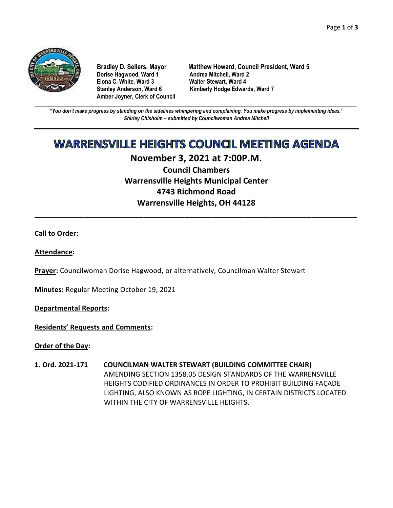

**Dorise Hagwood, Ward 1 Elona C. White, Ward 3 Walter Stewart, Ward 4 Amber Joyner, Clerk of Council**

**Bradley D. Sellers, Mayor Matthew Howard, Council President, Ward 5** Stanley Anderson, Ward 6 Kimberly Hodge Edwards, Ward 7

**\_\_\_\_\_\_\_\_\_\_\_\_\_\_\_\_\_\_\_\_\_\_\_\_\_\_\_\_\_\_\_\_\_\_\_\_\_\_\_\_\_\_\_\_\_\_\_\_\_\_\_\_\_\_\_\_\_\_\_\_\_\_\_\_\_\_\_\_\_\_\_\_\_\_\_\_\_\_\_\_\_\_\_\_\_\_\_\_\_\_\_\_\_\_\_\_\_\_\_\_\_\_\_\_\_\_\_\_\_\_** *"You don't make progress by standing on the sidelines whimpering and complaining. You make progress by implementing ideas." Shirley Chisholm – submitted by Councilwoman Andrea Mitchell*

# **WARRENSVILLE HEIGHTS COUNCIL MEETING AGENDA**

# **November 3, 2021 at 7:00P.M.**

**Council Chambers Warrensville Heights Municipal Center 4743 Richmond Road Warrensville Heights, OH 44128**

**\_\_\_\_\_\_\_\_\_\_\_\_\_\_\_\_\_\_\_\_\_\_\_\_\_\_\_\_\_\_\_\_\_\_\_\_\_\_\_\_\_\_\_\_\_\_\_\_\_\_\_\_\_\_\_\_\_\_\_\_\_\_\_\_\_\_\_\_\_\_\_**

#### **Call to Order:**

#### **Attendance:**

**Prayer:** Councilwoman Dorise Hagwood, or alternatively, Councilman Walter Stewart

**Minutes:** Regular Meeting October 19, 2021

**Departmental Reports:**

**Residents' Requests and Comments:**

**Order of the Day:**

**1. Ord. 2021-171 COUNCILMAN WALTER STEWART (BUILDING COMMITTEE CHAIR)** AMENDING SECTION 1358.05 DESIGN STANDARDS OF THE WARRENSVILLE HEIGHTS CODIFIED ORDINANCES IN ORDER TO PROHIBIT BUILDING FAÇADE LIGHTING, ALSO KNOWN AS ROPE LIGHTING, IN CERTAIN DISTRICTS LOCATED WITHIN THE CITY OF WARRENSVILLE HEIGHTS.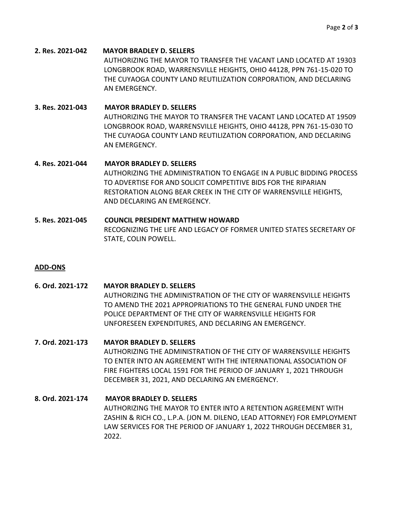#### **2. Res. 2021-042 MAYOR BRADLEY D. SELLERS**

AUTHORIZING THE MAYOR TO TRANSFER THE VACANT LAND LOCATED AT 19303 LONGBROOK ROAD, WARRENSVILLE HEIGHTS, OHIO 44128, PPN 761-15-020 TO THE CUYAOGA COUNTY LAND REUTILIZATION CORPORATION, AND DECLARING AN EMERGENCY.

#### **3. Res. 2021-043 MAYOR BRADLEY D. SELLERS**

AUTHORIZING THE MAYOR TO TRANSFER THE VACANT LAND LOCATED AT 19509 LONGBROOK ROAD, WARRENSVILLE HEIGHTS, OHIO 44128, PPN 761-15-030 TO THE CUYAOGA COUNTY LAND REUTILIZATION CORPORATION, AND DECLARING AN EMERGENCY.

#### **4. Res. 2021-044 MAYOR BRADLEY D. SELLERS**

AUTHORIZING THE ADMINISTRATION TO ENGAGE IN A PUBLIC BIDDING PROCESS TO ADVERTISE FOR AND SOLICIT COMPETITIVE BIDS FOR THE RIPARIAN RESTORATION ALONG BEAR CREEK IN THE CITY OF WARRENSVILLE HEIGHTS, AND DECLARING AN EMERGENCY.

### **5. Res. 2021-045 COUNCIL PRESIDENT MATTHEW HOWARD** RECOGNIZING THE LIFE AND LEGACY OF FORMER UNITED STATES SECRETARY OF STATE, COLIN POWELL.

#### **ADD-ONS**

# **6. Ord. 2021-172 MAYOR BRADLEY D. SELLERS** AUTHORIZING THE ADMINISTRATION OF THE CITY OF WARRENSVILLE HEIGHTS TO AMEND THE 2021 APPROPRIATIONS TO THE GENERAL FUND UNDER THE POLICE DEPARTMENT OF THE CITY OF WARRENSVILLE HEIGHTS FOR UNFORESEEN EXPENDITURES, AND DECLARING AN EMERGENCY.

#### **7. Ord. 2021-173 MAYOR BRADLEY D. SELLERS**

AUTHORIZING THE ADMINISTRATION OF THE CITY OF WARRENSVILLE HEIGHTS TO ENTER INTO AN AGREEMENT WITH THE INTERNATIONAL ASSOCIATION OF FIRE FIGHTERS LOCAL 1591 FOR THE PERIOD OF JANUARY 1, 2021 THROUGH DECEMBER 31, 2021, AND DECLARING AN EMERGENCY.

# **8. Ord. 2021-174 MAYOR BRADLEY D. SELLERS**

AUTHORIZING THE MAYOR TO ENTER INTO A RETENTION AGREEMENT WITH ZASHIN & RICH CO., L.P.A. (JON M. DILENO, LEAD ATTORNEY) FOR EMPLOYMENT LAW SERVICES FOR THE PERIOD OF JANUARY 1, 2022 THROUGH DECEMBER 31, 2022.